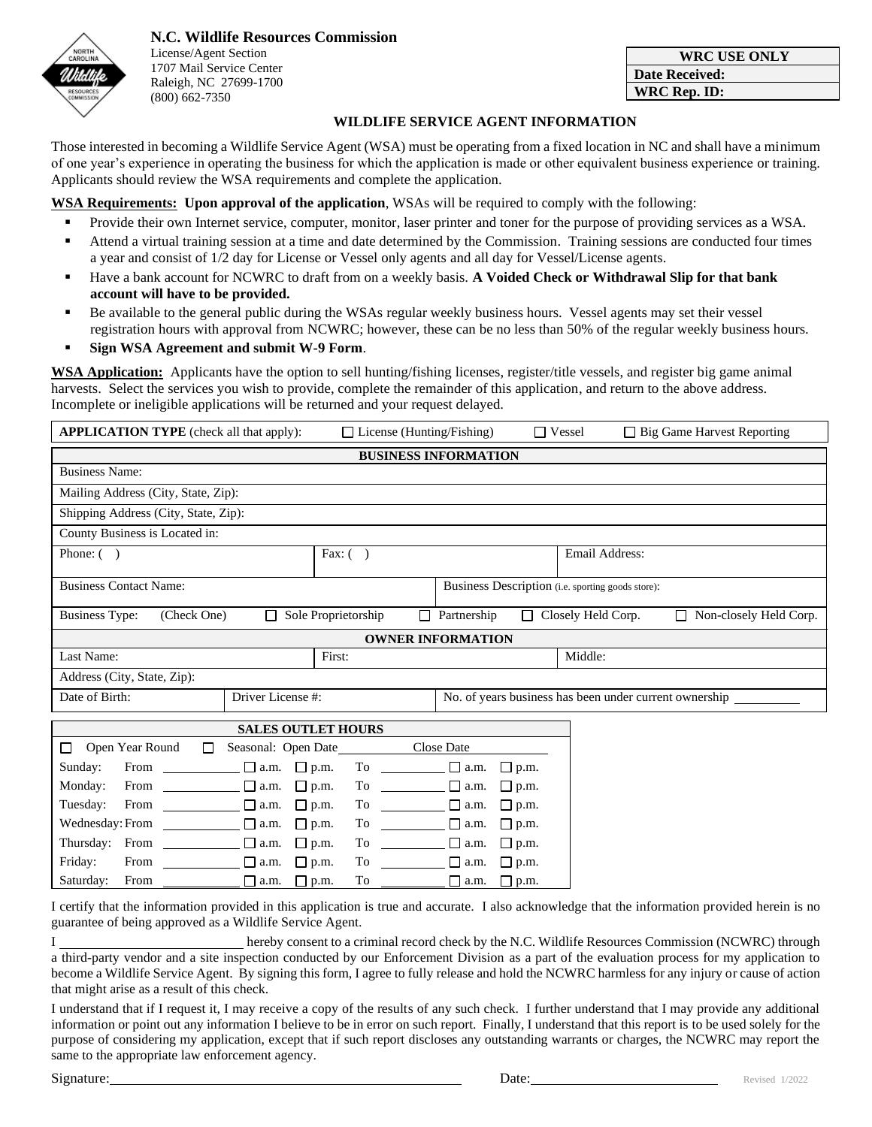

**N.C. Wildlife Resources Commission** License/Agent Section 1707 Mail Service Center Raleigh, NC 27699-1700 (800) 662-7350

| <b>WRC USE ONLY</b>   |
|-----------------------|
| <b>Date Received:</b> |
| WRC Rep. ID:          |

## **WILDLIFE SERVICE AGENT INFORMATION**

Those interested in becoming a Wildlife Service Agent (WSA) must be operating from a fixed location in NC and shall have a minimum of one year's experience in operating the business for which the application is made or other equivalent business experience or training. Applicants should review the WSA requirements and complete the application.

**WSA Requirements: Upon approval of the application**, WSAs will be required to comply with the following:

- Provide their own Internet service, computer, monitor, laser printer and toner for the purpose of providing services as a WSA.
- Attend a virtual training session at a time and date determined by the Commission. Training sessions are conducted four times a year and consist of 1/2 day for License or Vessel only agents and all day for Vessel/License agents.
- Have a bank account for NCWRC to draft from on a weekly basis. **A Voided Check or Withdrawal Slip for that bank account will have to be provided.**
- Be available to the general public during the WSAs regular weekly business hours. Vessel agents may set their vessel registration hours with approval from NCWRC; however, these can be no less than 50% of the regular weekly business hours.

## ▪ **Sign WSA Agreement and submit W-9 Form**.

**WSA Application:** Applicants have the option to sell hunting/fishing licenses, register/title vessels, and register big game animal harvests. Select the services you wish to provide, complete the remainder of this application, and return to the above address. Incomplete or ineligible applications will be returned and your request delayed.

| <b>APPLICATION TYPE</b> (check all that apply): |                                | $\Box$ License (Hunting/Fishing) |                                                                                   |                                                           |                | $\Box$ Vessel             | $\Box$ Big Game Harvest Reporting |  |
|-------------------------------------------------|--------------------------------|----------------------------------|-----------------------------------------------------------------------------------|-----------------------------------------------------------|----------------|---------------------------|-----------------------------------|--|
| <b>BUSINESS INFORMATION</b>                     |                                |                                  |                                                                                   |                                                           |                |                           |                                   |  |
| <b>Business Name:</b>                           |                                |                                  |                                                                                   |                                                           |                |                           |                                   |  |
| Mailing Address (City, State, Zip):             |                                |                                  |                                                                                   |                                                           |                |                           |                                   |  |
| Shipping Address (City, State, Zip):            |                                |                                  |                                                                                   |                                                           |                |                           |                                   |  |
| County Business is Located in:                  |                                |                                  |                                                                                   |                                                           |                |                           |                                   |  |
| Phone: $( )$                                    | Fax: $( )$                     |                                  |                                                                                   |                                                           | Email Address: |                           |                                   |  |
| <b>Business Contact Name:</b>                   |                                |                                  |                                                                                   | Business Description ( <i>i.e.</i> sporting goods store): |                |                           |                                   |  |
| <b>Business Type:</b><br>(Check One)            | П                              | Sole Proprietorship              | П.                                                                                | Partnership                                               |                | $\Box$ Closely Held Corp. | $\Box$ Non-closely Held Corp.     |  |
| <b>OWNER INFORMATION</b>                        |                                |                                  |                                                                                   |                                                           |                |                           |                                   |  |
| Last Name:                                      |                                | First:                           |                                                                                   |                                                           |                | Middle:                   |                                   |  |
| Address (City, State, Zip):                     |                                |                                  |                                                                                   |                                                           |                |                           |                                   |  |
| Date of Birth:<br>Driver License #:             |                                |                                  | No. of years business has been under current ownership __________________________ |                                                           |                |                           |                                   |  |
| <b>SALES OUTLET HOURS</b>                       |                                |                                  |                                                                                   |                                                           |                |                           |                                   |  |
| Open Year Round<br>$\Box$<br>П                  | Seasonal: Open Date Close Date |                                  |                                                                                   |                                                           |                |                           |                                   |  |
| From $\Box$ a.m. $\Box$ p.m.<br>Sunday:         |                                |                                  |                                                                                   | To $\Box$ $\Box$ a.m. $\Box$ p.m.                         |                |                           |                                   |  |
| Monday:<br>From $\Box$ a.m.                     |                                | $\Box$ p.m.<br>To                |                                                                                   | $\Box$ a.m.                                               | $\Box$ p.m.    |                           |                                   |  |
| From $\Box$ a.m.<br>Tuesday:                    |                                | $\Box$ p.m.<br>To                |                                                                                   | $\Box$ a.m.                                               | $\Box$ p.m.    |                           |                                   |  |
| Wednesday: From $\Box$ a.m.                     |                                | $\square$ p.m.<br>To             |                                                                                   | $\Box$ a.m.                                               | $\Box$ p.m.    |                           |                                   |  |
| Thursday: From $\Box$ a.m.                      |                                | $\Box$ p.m.<br>To                |                                                                                   | $\boxed{\square}$ a.m.                                    | $\Box$ p.m.    |                           |                                   |  |
| Friday:<br>From                                 | $\Box$ a.m.                    | $\Box$ p.m.<br>To                |                                                                                   | $\Box$ a.m.                                               | $\Box$ p.m.    |                           |                                   |  |
| Saturday:<br>From                               | $\Box$ a.m.                    | $\Box$ p.m.<br>To                |                                                                                   | $\Box$ a.m.                                               | $\Box$ p.m.    |                           |                                   |  |

I certify that the information provided in this application is true and accurate. I also acknowledge that the information provided herein is no guarantee of being approved as a Wildlife Service Agent.

I hereby consent to a criminal record check by the N.C. Wildlife Resources Commission (NCWRC) through a third-party vendor and a site inspection conducted by our Enforcement Division as a part of the evaluation process for my application to become a Wildlife Service Agent. By signing this form, I agree to fully release and hold the NCWRC harmless for any injury or cause of action that might arise as a result of this check.

I understand that if I request it, I may receive a copy of the results of any such check. I further understand that I may provide any additional information or point out any information I believe to be in error on such report. Finally, I understand that this report is to be used solely for the purpose of considering my application, except that if such report discloses any outstanding warrants or charges, the NCWRC may report the same to the appropriate law enforcement agency.

Signature: Revised 1/2022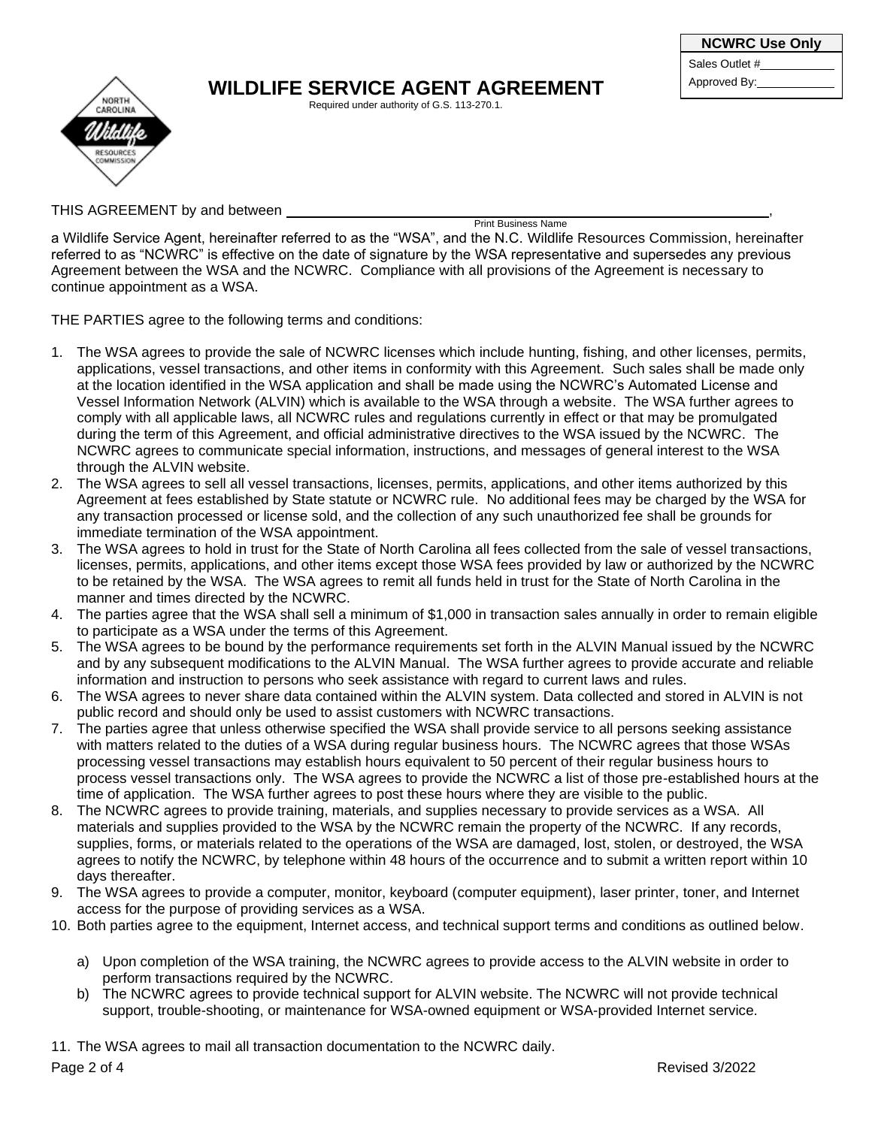## NORTH RESOURCE

## **WILDLIFE SERVICE AGENT AGREEMENT** Approved By:

Required under authority of G.S. 113-270.1.

Sales Outlet #

THIS AGREEMENT by and between

Print Business Name

a Wildlife Service Agent, hereinafter referred to as the "WSA", and the N.C. Wildlife Resources Commission, hereinafter referred to as "NCWRC" is effective on the date of signature by the WSA representative and supersedes any previous Agreement between the WSA and the NCWRC. Compliance with all provisions of the Agreement is necessary to continue appointment as a WSA.

THE PARTIES agree to the following terms and conditions:

- 1. The WSA agrees to provide the sale of NCWRC licenses which include hunting, fishing, and other licenses, permits, applications, vessel transactions, and other items in conformity with this Agreement. Such sales shall be made only at the location identified in the WSA application and shall be made using the NCWRC's Automated License and Vessel Information Network (ALVIN) which is available to the WSA through a website. The WSA further agrees to comply with all applicable laws, all NCWRC rules and regulations currently in effect or that may be promulgated during the term of this Agreement, and official administrative directives to the WSA issued by the NCWRC. The NCWRC agrees to communicate special information, instructions, and messages of general interest to the WSA through the ALVIN website.
- 2. The WSA agrees to sell all vessel transactions, licenses, permits, applications, and other items authorized by this Agreement at fees established by State statute or NCWRC rule. No additional fees may be charged by the WSA for any transaction processed or license sold, and the collection of any such unauthorized fee shall be grounds for immediate termination of the WSA appointment.
- 3. The WSA agrees to hold in trust for the State of North Carolina all fees collected from the sale of vessel transactions, licenses, permits, applications, and other items except those WSA fees provided by law or authorized by the NCWRC to be retained by the WSA. The WSA agrees to remit all funds held in trust for the State of North Carolina in the manner and times directed by the NCWRC.
- 4. The parties agree that the WSA shall sell a minimum of \$1,000 in transaction sales annually in order to remain eligible to participate as a WSA under the terms of this Agreement.
- 5. The WSA agrees to be bound by the performance requirements set forth in the ALVIN Manual issued by the NCWRC and by any subsequent modifications to the ALVIN Manual. The WSA further agrees to provide accurate and reliable information and instruction to persons who seek assistance with regard to current laws and rules.
- 6. The WSA agrees to never share data contained within the ALVIN system. Data collected and stored in ALVIN is not public record and should only be used to assist customers with NCWRC transactions.
- 7. The parties agree that unless otherwise specified the WSA shall provide service to all persons seeking assistance with matters related to the duties of a WSA during regular business hours. The NCWRC agrees that those WSAs processing vessel transactions may establish hours equivalent to 50 percent of their regular business hours to process vessel transactions only. The WSA agrees to provide the NCWRC a list of those pre-established hours at the time of application. The WSA further agrees to post these hours where they are visible to the public.
- 8. The NCWRC agrees to provide training, materials, and supplies necessary to provide services as a WSA. All materials and supplies provided to the WSA by the NCWRC remain the property of the NCWRC. If any records, supplies, forms, or materials related to the operations of the WSA are damaged, lost, stolen, or destroyed, the WSA agrees to notify the NCWRC, by telephone within 48 hours of the occurrence and to submit a written report within 10 days thereafter.
- 9. The WSA agrees to provide a computer, monitor, keyboard (computer equipment), laser printer, toner, and Internet access for the purpose of providing services as a WSA.
- 10. Both parties agree to the equipment, Internet access, and technical support terms and conditions as outlined below.
	- a) Upon completion of the WSA training, the NCWRC agrees to provide access to the ALVIN website in order to perform transactions required by the NCWRC.
	- b) The NCWRC agrees to provide technical support for ALVIN website. The NCWRC will not provide technical support, trouble-shooting, or maintenance for WSA-owned equipment or WSA-provided Internet service.

11. The WSA agrees to mail all transaction documentation to the NCWRC daily.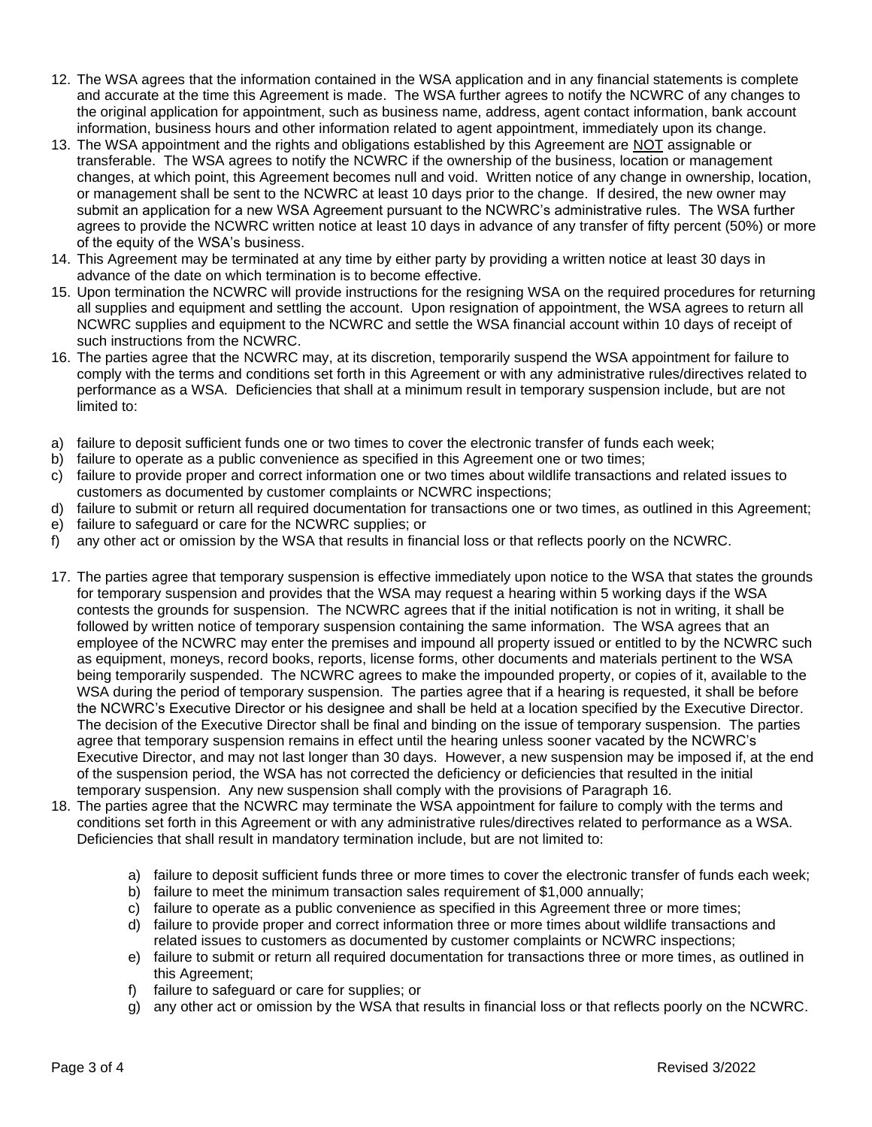- 12. The WSA agrees that the information contained in the WSA application and in any financial statements is complete and accurate at the time this Agreement is made. The WSA further agrees to notify the NCWRC of any changes to the original application for appointment, such as business name, address, agent contact information, bank account information, business hours and other information related to agent appointment, immediately upon its change.
- 13. The WSA appointment and the rights and obligations established by this Agreement are NOT assignable or transferable. The WSA agrees to notify the NCWRC if the ownership of the business, location or management changes, at which point, this Agreement becomes null and void. Written notice of any change in ownership, location, or management shall be sent to the NCWRC at least 10 days prior to the change. If desired, the new owner may submit an application for a new WSA Agreement pursuant to the NCWRC's administrative rules. The WSA further agrees to provide the NCWRC written notice at least 10 days in advance of any transfer of fifty percent (50%) or more of the equity of the WSA's business.
- 14. This Agreement may be terminated at any time by either party by providing a written notice at least 30 days in advance of the date on which termination is to become effective.
- 15. Upon termination the NCWRC will provide instructions for the resigning WSA on the required procedures for returning all supplies and equipment and settling the account. Upon resignation of appointment, the WSA agrees to return all NCWRC supplies and equipment to the NCWRC and settle the WSA financial account within 10 days of receipt of such instructions from the NCWRC.
- 16. The parties agree that the NCWRC may, at its discretion, temporarily suspend the WSA appointment for failure to comply with the terms and conditions set forth in this Agreement or with any administrative rules/directives related to performance as a WSA. Deficiencies that shall at a minimum result in temporary suspension include, but are not limited to:
- a) failure to deposit sufficient funds one or two times to cover the electronic transfer of funds each week;
- b) failure to operate as a public convenience as specified in this Agreement one or two times;
- c) failure to provide proper and correct information one or two times about wildlife transactions and related issues to customers as documented by customer complaints or NCWRC inspections;
- d) failure to submit or return all required documentation for transactions one or two times, as outlined in this Agreement;
- e) failure to safeguard or care for the NCWRC supplies; or
- f) any other act or omission by the WSA that results in financial loss or that reflects poorly on the NCWRC.
- 17. The parties agree that temporary suspension is effective immediately upon notice to the WSA that states the grounds for temporary suspension and provides that the WSA may request a hearing within 5 working days if the WSA contests the grounds for suspension. The NCWRC agrees that if the initial notification is not in writing, it shall be followed by written notice of temporary suspension containing the same information. The WSA agrees that an employee of the NCWRC may enter the premises and impound all property issued or entitled to by the NCWRC such as equipment, moneys, record books, reports, license forms, other documents and materials pertinent to the WSA being temporarily suspended. The NCWRC agrees to make the impounded property, or copies of it, available to the WSA during the period of temporary suspension. The parties agree that if a hearing is requested, it shall be before the NCWRC's Executive Director or his designee and shall be held at a location specified by the Executive Director. The decision of the Executive Director shall be final and binding on the issue of temporary suspension. The parties agree that temporary suspension remains in effect until the hearing unless sooner vacated by the NCWRC's Executive Director, and may not last longer than 30 days. However, a new suspension may be imposed if, at the end of the suspension period, the WSA has not corrected the deficiency or deficiencies that resulted in the initial temporary suspension. Any new suspension shall comply with the provisions of Paragraph 16.
- 18. The parties agree that the NCWRC may terminate the WSA appointment for failure to comply with the terms and conditions set forth in this Agreement or with any administrative rules/directives related to performance as a WSA. Deficiencies that shall result in mandatory termination include, but are not limited to:
	- a) failure to deposit sufficient funds three or more times to cover the electronic transfer of funds each week;
	- b) failure to meet the minimum transaction sales requirement of \$1,000 annually;
	- c) failure to operate as a public convenience as specified in this Agreement three or more times;
	- d) failure to provide proper and correct information three or more times about wildlife transactions and related issues to customers as documented by customer complaints or NCWRC inspections;
	- e) failure to submit or return all required documentation for transactions three or more times, as outlined in this Agreement;
	- f) failure to safeguard or care for supplies; or
	- g) any other act or omission by the WSA that results in financial loss or that reflects poorly on the NCWRC.